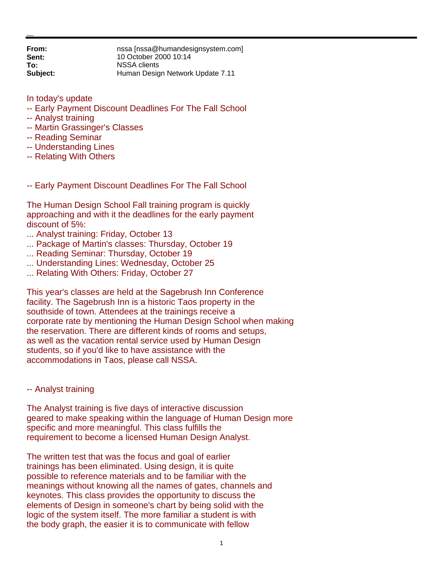**From:** nssa [nssa@humandesignsystem.com] **Sent:** 10 October 2000 10:14 **To:** NSSA clients **Subject:** Human Design Network Update 7.11

In today's update

- -- Early Payment Discount Deadlines For The Fall School
- -- Analyst training
- -- Martin Grassinger's Classes
- -- Reading Seminar
- -- Understanding Lines
- -- Relating With Others
- -- Early Payment Discount Deadlines For The Fall School

The Human Design School Fall training program is quickly approaching and with it the deadlines for the early payment discount of 5%:

- ... Analyst training: Friday, October 13
- ... Package of Martin's classes: Thursday, October 19
- ... Reading Seminar: Thursday, October 19
- ... Understanding Lines: Wednesday, October 25
- ... Relating With Others: Friday, October 27

This year's classes are held at the Sagebrush Inn Conference facility. The Sagebrush Inn is a historic Taos property in the southside of town. Attendees at the trainings receive a corporate rate by mentioning the Human Design School when making the reservation. There are different kinds of rooms and setups, as well as the vacation rental service used by Human Design students, so if you'd like to have assistance with the accommodations in Taos, please call NSSA.

#### -- Analyst training

The Analyst training is five days of interactive discussion geared to make speaking within the language of Human Design more specific and more meaningful. This class fulfills the requirement to become a licensed Human Design Analyst.

The written test that was the focus and goal of earlier trainings has been eliminated. Using design, it is quite possible to reference materials and to be familiar with the meanings without knowing all the names of gates, channels and keynotes. This class provides the opportunity to discuss the elements of Design in someone's chart by being solid with the logic of the system itself. The more familiar a student is with the body graph, the easier it is to communicate with fellow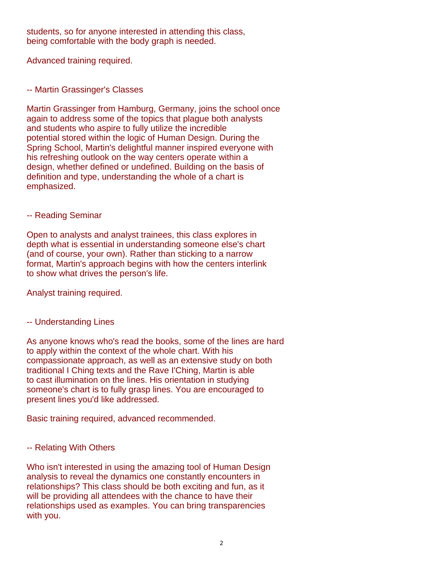students, so for anyone interested in attending this class, being comfortable with the body graph is needed.

Advanced training required.

## -- Martin Grassinger's Classes

Martin Grassinger from Hamburg, Germany, joins the school once again to address some of the topics that plague both analysts and students who aspire to fully utilize the incredible potential stored within the logic of Human Design. During the Spring School, Martin's delightful manner inspired everyone with his refreshing outlook on the way centers operate within a design, whether defined or undefined. Building on the basis of definition and type, understanding the whole of a chart is emphasized.

### -- Reading Seminar

Open to analysts and analyst trainees, this class explores in depth what is essential in understanding someone else's chart (and of course, your own). Rather than sticking to a narrow format, Martin's approach begins with how the centers interlink to show what drives the person's life.

Analyst training required.

# -- Understanding Lines

As anyone knows who's read the books, some of the lines are hard to apply within the context of the whole chart. With his compassionate approach, as well as an extensive study on both traditional I Ching texts and the Rave I'Ching, Martin is able to cast illumination on the lines. His orientation in studying someone's chart is to fully grasp lines. You are encouraged to present lines you'd like addressed.

Basic training required, advanced recommended.

# -- Relating With Others

Who isn't interested in using the amazing tool of Human Design analysis to reveal the dynamics one constantly encounters in relationships? This class should be both exciting and fun, as it will be providing all attendees with the chance to have their relationships used as examples. You can bring transparencies with you.